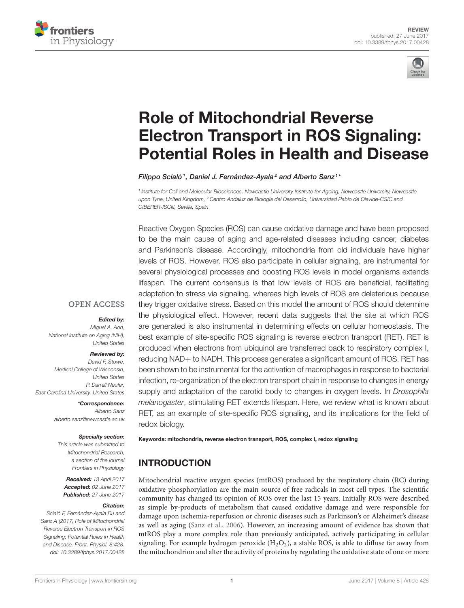



# Role of Mitochondrial Reverse [Electron Transport in ROS Signaling:](http://journal.frontiersin.org/article/10.3389/fphys.2017.00428/abstract) Potential Roles in Health and Disease

[Filippo Scialò](http://loop.frontiersin.org/people/431379/overview)<sup>1</sup>, Daniel J. Fernández-Ayala<sup>2</sup> and [Alberto Sanz](http://loop.frontiersin.org/people/383975/overview)<sup>1</sup>\*

1 Institute for Cell and Molecular Biosciences, Newcastle University Institute for Ageing, Newcastle University, Newcastle upon Tyne, United Kingdom, <sup>2</sup> Centro Andaluz de Biología del Desarrollo, Universidad Pablo de Olavide-CSIC and CIBERER-ISCIII, Seville, Spain

Reactive Oxygen Species (ROS) can cause oxidative damage and have been proposed to be the main cause of aging and age-related diseases including cancer, diabetes and Parkinson's disease. Accordingly, mitochondria from old individuals have higher levels of ROS. However, ROS also participate in cellular signaling, are instrumental for several physiological processes and boosting ROS levels in model organisms extends lifespan. The current consensus is that low levels of ROS are beneficial, facilitating adaptation to stress via signaling, whereas high levels of ROS are deleterious because they trigger oxidative stress. Based on this model the amount of ROS should determine the physiological effect. However, recent data suggests that the site at which ROS are generated is also instrumental in determining effects on cellular homeostasis. The best example of site-specific ROS signaling is reverse electron transport (RET). RET is produced when electrons from ubiquinol are transferred back to respiratory complex I, reducing NAD+ to NADH. This process generates a significant amount of ROS. RET has been shown to be instrumental for the activation of macrophages in response to bacterial infection, re-organization of the electron transport chain in response to changes in energy supply and adaptation of the carotid body to changes in oxygen levels. In Drosophila melanogaster, stimulating RET extends lifespan. Here, we review what is known about RET, as an example of site-specific ROS signaling, and its implications for the field of redox biology.

### Miguel A. Aon,

**OPEN ACCESS** 

National Institute on Aging (NIH), United States

#### Reviewed by:

Edited by:

David F. Stowe, Medical College of Wisconsin, United States P. Darrell Neufer, East Carolina University, United States

> \*Correspondence: Alberto Sanz [alberto.sanz@newcastle.ac.uk](mailto:alberto.sanz@newcastle.ac.uk)

#### Specialty section:

This article was submitted to Mitochondrial Research, a section of the journal Frontiers in Physiology

Received: 13 April 2017 Accepted: 02 June 2017 Published: 27 June 2017

#### Citation:

Scialò F, Fernández-Ayala DJ and Sanz A (2017) Role of Mitochondrial Reverse Electron Transport in ROS Signaling: Potential Roles in Health and Disease. Front. Physiol. 8:428. doi: [10.3389/fphys.2017.00428](https://doi.org/10.3389/fphys.2017.00428) Keywords: mitochondria, reverse electron transport, ROS, complex I, redox signaling

# INTRODUCTION

Mitochondrial reactive oxygen species (mtROS) produced by the respiratory chain (RC) during oxidative phosphorylation are the main source of free radicals in most cell types. The scientific community has changed its opinion of ROS over the last 15 years. Initially ROS were described as simple by-products of metabolism that caused oxidative damage and were responsible for damage upon ischemia-reperfusion or chronic diseases such as Parkinson's or Alzheimer's disease as well as aging [\(Sanz et al., 2006\)](#page-5-0). However, an increasing amount of evidence has shown that mtROS play a more complex role than previously anticipated, actively participating in cellular signaling. For example hydrogen peroxide  $(H_2O_2)$ , a stable ROS, is able to diffuse far away from the mitochondrion and alter the activity of proteins by regulating the oxidative state of one or more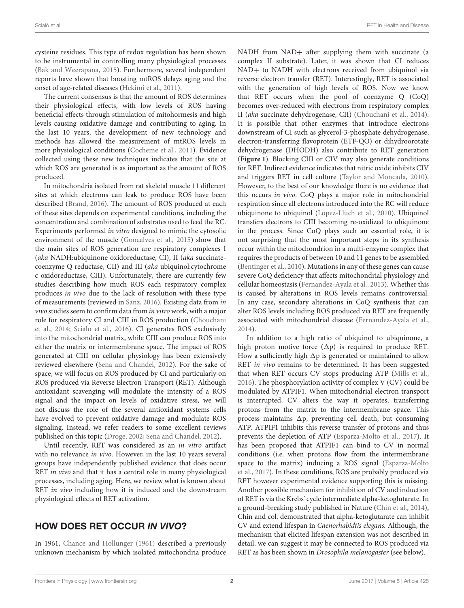cysteine residues. This type of redox regulation has been shown to be instrumental in controlling many physiological processes [\(Bak and Weerapana, 2015\)](#page-5-1). Furthermore, several independent reports have shown that boosting mtROS delays aging and the onset of age-related diseases [\(Hekimi et al., 2011\)](#page-5-2).

The current consensus is that the amount of ROS determines their physiological effects, with low levels of ROS having beneficial effects through stimulation of mitohormesis and high levels causing oxidative damage and contributing to aging. In the last 10 years, the development of new technology and methods has allowed the measurement of mtROS levels in more physiological conditions [\(Cocheme et al., 2011\)](#page-5-3). Evidence collected using these new techniques indicates that the site at which ROS are generated is as important as the amount of ROS produced.

In mitochondria isolated from rat skeletal muscle 11 different sites at which electrons can leak to produce ROS have been described [\(Brand, 2016\)](#page-5-4). The amount of ROS produced at each of these sites depends on experimental conditions, including the concentration and combination of substrates used to feed the RC. Experiments performed in vitro designed to mimic the cytosolic environment of the muscle [\(Goncalves et al., 2015\)](#page-5-5) show that the main sites of ROS generation are respiratory complexes I (aka NADH:ubiquinone oxidoreductase, CI), II (aka succinatecoenzyme Q reductase, CII) and III (aka ubiquinol:cytochrome c oxidoreductase, CIII). Unfortunately, there are currently few studies describing how much ROS each respiratory complex produces in vivo due to the lack of resolution with these type of measurements (reviewed in [Sanz, 2016\)](#page-5-6). Existing data from in vivo studies seem to confirm data from in vitro work, with a major role for respiratory CI and CIII in ROS production (Chouchani et al., [2014;](#page-5-7) [Scialo et al., 2016\)](#page-6-0). CI generates ROS exclusively into the mitochondrial matrix, while CIII can produce ROS into either the matrix or intermembrane space. The impact of ROS generated at CIII on cellular physiology has been extensively reviewed elsewhere [\(Sena and Chandel, 2012\)](#page-6-1). For the sake of space, we will focus on ROS produced by CI and particularly on ROS produced via Reverse Electron Transport (RET). Although antioxidant scavenging will modulate the intensity of a ROS signal and the impact on levels of oxidative stress, we will not discuss the role of the several antioxidant systems cells have evolved to prevent oxidative damage and modulate ROS signaling. Instead, we refer readers to some excellent reviews published on this topic [\(Droge, 2002;](#page-5-8) [Sena and Chandel, 2012\)](#page-6-1).

Until recently, RET was considered as an in vitro artifact with no relevance in vivo. However, in the last 10 years several groups have independently published evidence that does occur RET *in vivo* and that it has a central role in many physiological processes, including aging. Here, we review what is known about RET in vivo including how it is induced and the downstream physiological effects of RET activation.

#### HOW DOES RET OCCUR IN VIVO?

In 1961, [Chance and Hollunger \(1961\)](#page-5-9) described a previously unknown mechanism by which isolated mitochondria produce NADH from NAD+ after supplying them with succinate (a complex II substrate). Later, it was shown that CI reduces NAD+ to NADH with electrons received from ubiquinol via reverse electron transfer (RET). Interestingly, RET is associated with the generation of high levels of ROS. Now we know that RET occurs when the pool of coenzyme Q (CoQ) becomes over-reduced with electrons from respiratory complex II (aka succinate dehydrogenase, CII) [\(Chouchani et al., 2014\)](#page-5-7). It is possible that other enzymes that introduce electrons downstream of CI such as glycerol-3-phosphate dehydrogenase, electron-transferring flavoprotein (ETF-QO) or dihydroorotate dehydrogenase (DHODH) also contribute to RET generation (**[Figure 1](#page-2-0)**). Blocking CIII or CIV may also generate conditions for RET. Indirect evidence indicates that nitric oxide inhibits CIV and triggers RET in cell culture [\(Taylor and Moncada, 2010\)](#page-6-2). However, to the best of our knowledge there is no evidence that this occurs in vivo. CoQ plays a major role in mitochondrial respiration since all electrons introduced into the RC will reduce ubiquinone to ubiquinol [\(Lopez-Lluch et al., 2010\)](#page-5-10). Ubiquinol transfers electrons to CIII becoming re-oxidized to ubiquinone in the process. Since CoQ plays such an essential role, it is not surprising that the most important steps in its synthesis occur within the mitochondrion in a multi-enzyme complex that requires the products of between 10 and 11 genes to be assembled [\(Bentinger et al., 2010\)](#page-5-11). Mutations in any of these genes can cause severe CoQ deficiency that affects mitochondrial physiology and cellular homeostasis [\(Fernandez-Ayala et al., 2013\)](#page-5-12). Whether this is caused by alterations in ROS levels remains controversial. In any case, secondary alterations in CoQ synthesis that can alter ROS levels including ROS produced via RET are frequently associated with mitochondrial disease [\(Fernandez-Ayala et al.,](#page-5-13) [2014\)](#page-5-13).

In addition to a high ratio of ubiquinol to ubiquinone, a high proton motive force  $(\Delta p)$  is required to produce RET. How a sufficiently high  $\Delta p$  is generated or maintained to allow RET in vivo remains to be determined. It has been suggested that when RET occurs CV stops producing ATP [\(Mills et al.,](#page-5-14) [2016\)](#page-5-14). The phosphorylation activity of complex V (CV) could be modulated by ATPIF1. When mitochondrial electron transport is interrupted, CV alters the way it operates, transferring protons from the matrix to the intermembrane space. This process maintains  $\Delta p$ , preventing cell death, but consuming ATP. ATPIF1 inhibits this reverse transfer of protons and thus prevents the depletion of ATP [\(Esparza-Molto et al., 2017\)](#page-5-15). It has been proposed that ATPIF1 can bind to CV in normal conditions (i.e. when protons flow from the intermembrane space to the matrix) inducing a ROS signal (Esparza-Molto et al., [2017\)](#page-5-15). In these conditions, ROS are probably produced via RET however experimental evidence supporting this is missing. Another possible mechanism for inhibition of CV and induction of RET is via the Krebs' cycle intermediate alpha-ketoglutarate. In a ground-breaking study published in Nature [\(Chin et al., 2014\)](#page-5-16), Chin and col. demonstrated that alpha-ketoglutarate can inhibit CV and extend lifespan in Caenorhabidtis elegans. Although, the mechanism that elicited lifespan extension was not described in detail, we can suggest it may be connected to ROS produced via RET as has been shown in Drosophila melanogaster (see below).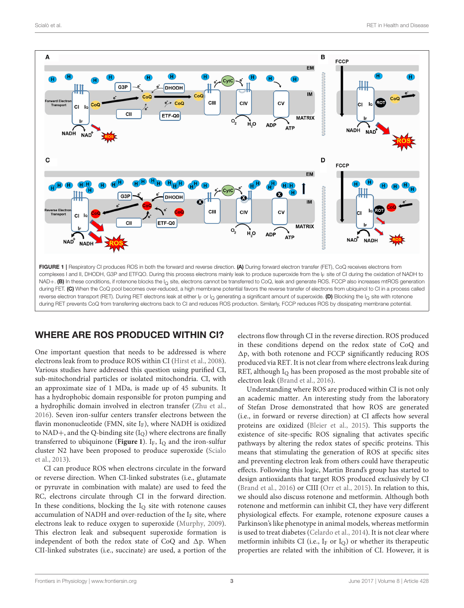

## <span id="page-2-0"></span>WHERE ARE ROS PRODUCED WITHIN CI?

One important question that needs to be addressed is where electrons leak from to produce ROS within CI [\(Hirst et al., 2008\)](#page-5-17). Various studies have addressed this question using purified CI, sub-mitochondrial particles or isolated mitochondria. CI, with an approximate size of 1 MDa, is made up of 45 subunits. It has a hydrophobic domain responsible for proton pumping and a hydrophilic domain involved in electron transfer [\(Zhu et al.,](#page-6-3) [2016\)](#page-6-3). Seven iron-sulfur centers transfer electrons between the flavin mononucleotide (FMN, site  $I_F$ ), where NADH is oxidized to NAD+, and the Q-binding site (IQ) where electrons are finally transferred to ubiquinone (**[Figure 1](#page-2-0)**).  $I_F$ ,  $I_O$  and the iron-sulfur cluster N2 have been proposed to produce superoxide (Scialo et al., [2013\)](#page-5-18).

CI can produce ROS when electrons circulate in the forward or reverse direction. When CI-linked substrates (i.e., glutamate or pyruvate in combination with malate) are used to feed the RC, electrons circulate through CI in the forward direction. In these conditions, blocking the  $I<sub>O</sub>$  site with rotenone causes accumulation of NADH and over-reduction of the  $I_F$  site, where electrons leak to reduce oxygen to superoxide [\(Murphy, 2009\)](#page-5-19). This electron leak and subsequent superoxide formation is independent of both the redox state of CoQ and  $\Delta p$ . When CII-linked substrates (i.e., succinate) are used, a portion of the electrons flow through CI in the reverse direction. ROS produced in these conditions depend on the redox state of CoQ and  $\Delta p$ , with both rotenone and FCCP significantly reducing ROS produced via RET. It is not clear from where electrons leak during RET, although  $I<sub>O</sub>$  has been proposed as the most probable site of electron leak [\(Brand et al., 2016\)](#page-5-20).

Understanding where ROS are produced within CI is not only an academic matter. An interesting study from the laboratory of Stefan Drose demonstrated that how ROS are generated (i.e., in forward or reverse direction) at CI affects how several proteins are oxidized [\(Bleier et al., 2015\)](#page-5-21). This supports the existence of site-specific ROS signaling that activates specific pathways by altering the redox states of specific proteins. This means that stimulating the generation of ROS at specific sites and preventing electron leak from others could have therapeutic effects. Following this logic, Martin Brand's group has started to design antioxidants that target ROS produced exclusively by CI [\(Brand et al., 2016\)](#page-5-20) or CIII [\(Orr et al., 2015\)](#page-5-22). In relation to this, we should also discuss rotenone and metformin. Although both rotenone and metformin can inhibit CI, they have very different physiological effects. For example, rotenone exposure causes a Parkinson's like phenotype in animal models, whereas metformin is used to treat diabetes [\(Celardo et al., 2014\)](#page-5-23). It is not clear where metformin inhibits CI (i.e.,  $I_F$  or  $I_O$ ) or whether its therapeutic properties are related with the inhibition of CI. However, it is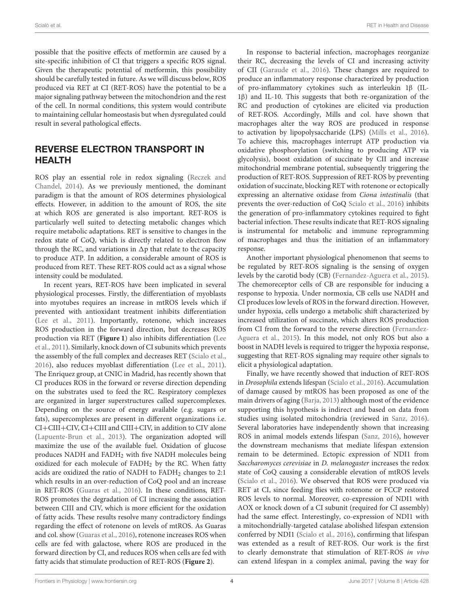possible that the positive effects of metformin are caused by a site-specific inhibition of CI that triggers a specific ROS signal. Given the therapeutic potential of metformin, this possibility should be carefully tested in future. As we will discuss below, ROS produced via RET at CI (RET-ROS) have the potential to be a major signaling pathway between the mitochondrion and the rest of the cell. In normal conditions, this system would contribute to maintaining cellular homeostasis but when dysregulated could result in several pathological effects.

# REVERSE ELECTRON TRANSPORT IN HEALTH

ROS play an essential role in redox signaling (Reczek and Chandel, [2014\)](#page-5-24). As we previously mentioned, the dominant paradigm is that the amount of ROS determines physiological effects. However, in addition to the amount of ROS, the site at which ROS are generated is also important. RET-ROS is particularly well suited to detecting metabolic changes which require metabolic adaptations. RET is sensitive to changes in the redox state of CoQ, which is directly related to electron flow through the RC, and variations in  $\Delta p$  that relate to the capacity to produce ATP. In addition, a considerable amount of ROS is produced from RET. These RET-ROS could act as a signal whose intensity could be modulated.

In recent years, RET-ROS have been implicated in several physiological processes. Firstly, the differentiation of myoblasts into myotubes requires an increase in mtROS levels which if prevented with antioxidant treatment inhibits differentiation [\(Lee et al., 2011\)](#page-5-25). Importantly, rotenone, which increases ROS production in the forward direction, but decreases ROS production via RET (**[Figure 1](#page-2-0)**) also inhibits differentiation (Lee et al., [2011\)](#page-5-25). Similarly, knock down of CI subunits which prevents the assembly of the full complex and decreases RET [\(Scialo et al.,](#page-6-0) [2016\)](#page-6-0), also reduces myoblast differentiation [\(Lee et al., 2011\)](#page-5-25). The Enriquez group, at CNIC in Madrid, has recently shown that CI produces ROS in the forward or reverse direction depending on the substrates used to feed the RC. Respiratory complexes are organized in larger superstructures called supercomplexes. Depending on the source of energy available (e.g. sugars or fats), supercomplexes are present in different organizations i.e. CI+CIII+CIV, CI+CIII and CIII+CIV, in addition to CIV alone [\(Lapuente-Brun et al., 2013\)](#page-5-26). The organization adopted will maximize the use of the available fuel. Oxidation of glucose produces NADH and FADH<sup>2</sup> with five NADH molecules being oxidized for each molecule of  $FADH<sub>2</sub>$  by the RC. When fatty acids are oxidized the ratio of NADH to  $FADH<sub>2</sub>$  changes to 2:1 which results in an over-reduction of CoQ pool and an increase in RET-ROS [\(Guaras et al., 2016\)](#page-5-27). In these conditions, RET-ROS promotes the degradation of CI increasing the association between CIII and CIV, which is more efficient for the oxidation of fatty acids. These results resolve many contradictory findings regarding the effect of rotenone on levels of mtROS. As Guaras and col. show [\(Guaras et al., 2016\)](#page-5-27), rotenone increases ROS when cells are fed with galactose, where ROS are produced in the forward direction by CI, and reduces ROS when cells are fed with fatty acids that stimulate production of RET-ROS (**[Figure 2](#page-4-0)**).

In response to bacterial infection, macrophages reorganize their RC, decreasing the levels of CI and increasing activity of CII [\(Garaude et al., 2016\)](#page-5-28). These changes are required to produce an inflammatory response characterized by production of pro-inflammatory cytokines such as interleukin 1β (IL-1β) and IL-10. This suggests that both re-organization of the RC and production of cytokines are elicited via production of RET-ROS. Accordingly, Mills and col. have shown that macrophages alter the way ROS are produced in response to activation by lipopolysaccharide (LPS) [\(Mills et al., 2016\)](#page-5-14). To achieve this, macrophages interrupt ATP production via oxidative phosphorylation (switching to producing ATP via glycolysis), boost oxidation of succinate by CII and increase mitochondrial membrane potential, subsequently triggering the production of RET-ROS. Suppression of RET-ROS by preventing oxidation of succinate, blocking RET with rotenone or ectopically expressing an alternative oxidase from Ciona intestinalis (that prevents the over-reduction of CoQ [Scialo et al., 2016\)](#page-6-0) inhibits the generation of pro-inflammatory cytokines required to fight bacterial infection. These results indicate that RET-ROS signaling is instrumental for metabolic and immune reprogramming of macrophages and thus the initiation of an inflammatory response.

Another important physiological phenomenon that seems to be regulated by RET-ROS signaling is the sensing of oxygen levels by the carotid body (CB) [\(Fernandez-Aguera et al., 2015\)](#page-5-29). The chemoreceptor cells of CB are responsible for inducing a response to hypoxia. Under normoxia, CB cells use NADH and CI produces low levels of ROS in the forward direction. However, under hypoxia, cells undergo a metabolic shift characterized by increased utilization of succinate, which alters ROS production from CI from the forward to the reverse direction (Fernandez-Aguera et al., [2015\)](#page-5-29). In this model, not only ROS but also a boost in NADH levels is required to trigger the hypoxia response, suggesting that RET-ROS signaling may require other signals to elicit a physiological adaptation.

Finally, we have recently showed that induction of RET-ROS in Drosophila extends lifespan [\(Scialo et al., 2016\)](#page-6-0). Accumulation of damage caused by mtROS has been proposed as one of the main drivers of aging [\(Barja, 2013\)](#page-5-30) although most of the evidence supporting this hypothesis is indirect and based on data from studies using isolated mitochondria (reviewed in [Sanz, 2016\)](#page-5-6). Several laboratories have independently shown that increasing ROS in animal models extends lifespan [\(Sanz, 2016\)](#page-5-6), however the downstream mechanisms that mediate lifespan extension remain to be determined. Ectopic expression of NDI1 from Saccharomyces cerevisiae in D. melanogaster increases the redox state of CoQ causing a considerable elevation of mtROS levels [\(Scialo et al., 2016\)](#page-6-0). We observed that ROS were produced via RET at CI, since feeding flies with rotenone or FCCP restored ROS levels to normal. Moreover, co-expression of NDI1 with AOX or knock down of a CI subunit (required for CI assembly) had the same effect. Interestingly, co-expression of NDI1 with a mitochondrially-targeted catalase abolished lifespan extension conferred by NDI1 [\(Scialo et al., 2016\)](#page-6-0), confirming that lifespan was extended as a result of RET-ROS. Our work is the first to clearly demonstrate that stimulation of RET-ROS in vivo can extend lifespan in a complex animal, paving the way for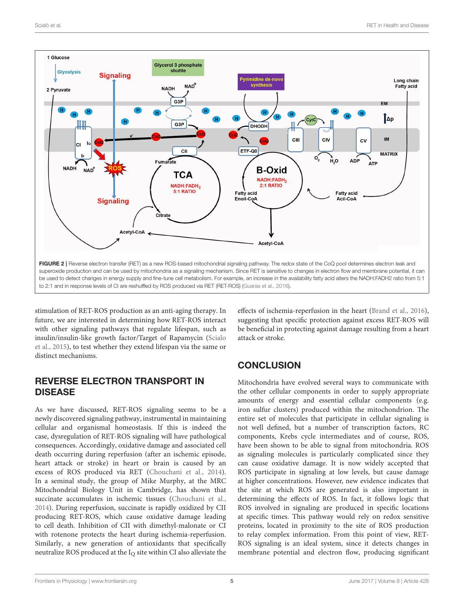

<span id="page-4-0"></span>stimulation of RET-ROS production as an anti-aging therapy. In future, we are interested in determining how RET-ROS interact with other signaling pathways that regulate lifespan, such as insulin/insulin-like growth factor/Target of Rapamycin (Scialo et al., [2015\)](#page-6-4), to test whether they extend lifespan via the same or distinct mechanisms.

# REVERSE ELECTRON TRANSPORT IN DISEASE

As we have discussed, RET-ROS signaling seems to be a newly discovered signaling pathway, instrumental in maintaining cellular and organismal homeostasis. If this is indeed the case, dysregulation of RET-ROS signaling will have pathological consequences. Accordingly, oxidative damage and associated cell death occurring during reperfusion (after an ischemic episode, heart attack or stroke) in heart or brain is caused by an excess of ROS produced via RET [\(Chouchani et al., 2014\)](#page-5-7). In a seminal study, the group of Mike Murphy, at the MRC Mitochondrial Biology Unit in Cambridge, has shown that succinate accumulates in ischemic tissues [\(Chouchani et al.,](#page-5-7) [2014\)](#page-5-7). During reperfusion, succinate is rapidly oxidized by CII producing RET-ROS, which cause oxidative damage leading to cell death. Inhibition of CII with dimethyl-malonate or CI with rotenone protects the heart during ischemia-reperfusion. Similarly, a new generation of antioxidants that specifically neutralize ROS produced at the  $I<sub>O</sub>$  site within CI also alleviate the effects of ischemia-reperfusion in the heart [\(Brand et al., 2016\)](#page-5-20), suggesting that specific protection against excess RET-ROS will be beneficial in protecting against damage resulting from a heart attack or stroke.

# **CONCLUSION**

Mitochondria have evolved several ways to communicate with the other cellular components in order to supply appropriate amounts of energy and essential cellular components (e.g. iron sulfur clusters) produced within the mitochondrion. The entire set of molecules that participate in cellular signaling is not well defined, but a number of transcription factors, RC components, Krebs cycle intermediates and of course, ROS, have been shown to be able to signal from mitochondria. ROS as signaling molecules is particularly complicated since they can cause oxidative damage. It is now widely accepted that ROS participate in signaling at low levels, but cause damage at higher concentrations. However, new evidence indicates that the site at which ROS are generated is also important in determining the effects of ROS. In fact, it follows logic that ROS involved in signaling are produced in specific locations at specific times. This pathway would rely on redox sensitive proteins, located in proximity to the site of ROS production to relay complex information. From this point of view, RET-ROS signaling is an ideal system, since it detects changes in membrane potential and electron flow, producing significant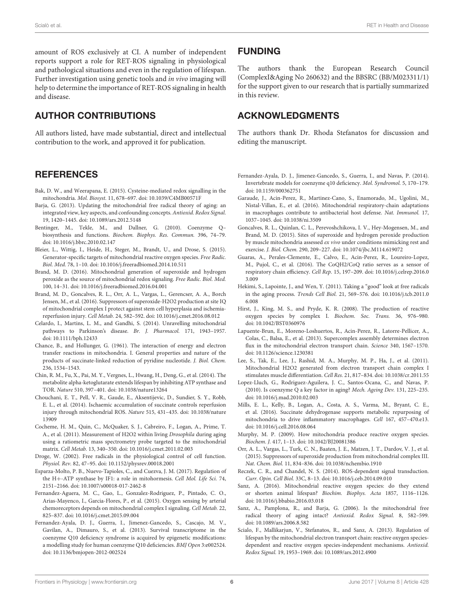amount of ROS exclusively at CI. A number of independent reports support a role for RET-ROS signaling in physiological and pathological situations and even in the regulation of lifespan. Further investigation using genetic tools and in vivo imaging will help to determine the importance of RET-ROS signaling in health and disease.

# AUTHOR CONTRIBUTIONS

All authors listed, have made substantial, direct and intellectual contribution to the work, and approved it for publication.

## **REFERENCES**

- <span id="page-5-1"></span>Bak, D. W., and Weerapana, E. (2015). Cysteine-mediated redox signalling in the mitochondria. Mol. Biosyst. 11, 678–697. doi: [10.1039/C4MB00571F](https://doi.org/10.1039/C4MB00571F)
- <span id="page-5-30"></span>Barja, G. (2013). Updating the mitochondrial free radical theory of aging: an integrated view, key aspects, and confounding concepts. Antioxid. Redox Signal. 19, 1420–1445. doi: [10.1089/ars.2012.5148](https://doi.org/10.1089/ars.2012.5148)
- <span id="page-5-11"></span>Bentinger, M., Tekle, M., and Dallner, G. (2010). Coenzyme Q– biosynthesis and functions. Biochem. Biophys. Res. Commun. 396, 74–79. doi: [10.1016/j.bbrc.2010.02.147](https://doi.org/10.1016/j.bbrc.2010.02.147)
- <span id="page-5-21"></span>Bleier, L., Wittig, I., Heide, H., Steger, M., Brandt, U., and Drose, S. (2015). Generator-specific targets of mitochondrial reactive oxygen species. Free Radic. Biol. Med. 78, 1–10. doi: [10.1016/j.freeradbiomed.2014.10.511](https://doi.org/10.1016/j.freeradbiomed.2014.10.511)
- <span id="page-5-4"></span>Brand, M. D. (2016). Mitochondrial generation of superoxide and hydrogen peroxide as the source of mitochondrial redox signaling. Free Radic. Biol. Med. 100, 14–31. doi: [10.1016/j.freeradbiomed.2016.04.001](https://doi.org/10.1016/j.freeradbiomed.2016.04.001)
- <span id="page-5-20"></span>Brand, M. D., Goncalves, R. L., Orr, A. L., Vargas, L., Gerencser, A. A., Borch Jensen, M., et al. (2016). Suppressors of superoxide-H2O2 production at site IQ of mitochondrial complex I protect against stem cell hyperplasia and ischemiareperfusion injury. Cell Metab. 24, 582–592. doi: [10.1016/j.cmet.2016.08.012](https://doi.org/10.1016/j.cmet.2016.08.012)
- <span id="page-5-23"></span>Celardo, I., Martins, L. M., and Gandhi, S. (2014). Unravelling mitochondrial pathways to Parkinson's disease. Br. J. Pharmacol. 171, 1943–1957. doi: [10.1111/bph.12433](https://doi.org/10.1111/bph.12433)
- <span id="page-5-9"></span>Chance, B., and Hollunger, G. (1961). The interaction of energy and electron transfer reactions in mitochondria. I. General properties and nature of the products of succinate-linked reduction of pyridine nucleotide. J. Biol. Chem. 236, 1534–1543.
- <span id="page-5-16"></span>Chin, R. M., Fu, X., Pai, M. Y., Vergnes, L., Hwang, H., Deng, G., et al. (2014). The metabolite alpha-ketoglutarate extends lifespan by inhibiting ATP synthase and TOR. Nature 510, 397–401. doi: [10.1038/nature13264](https://doi.org/10.1038/nature13264)
- <span id="page-5-7"></span>Chouchani, E. T., Pell, V. R., Gaude, E., Aksentijevic, D., Sundier, S. Y., Robb, E. L., et al. (2014). Ischaemic accumulation of succinate controls reperfusion [injury through mitochondrial ROS.](https://doi.org/10.1038/nature13909) Nature 515, 431–435. doi: 10.1038/nature 13909
- <span id="page-5-3"></span>Cocheme, H. M., Quin, C., McQuaker, S. J., Cabreiro, F., Logan, A., Prime, T. A., et al. (2011). Measurement of H2O2 within living Drosophila during aging using a ratiometric mass spectrometry probe targeted to the mitochondrial matrix. Cell Metab. 13, 340–350. doi: [10.1016/j.cmet.2011.02.003](https://doi.org/10.1016/j.cmet.2011.02.003)
- <span id="page-5-8"></span>Droge, W. (2002). Free radicals in the physiological control of cell function. Physiol. Rev. 82, 47–95. doi: [10.1152/physrev.00018.2001](https://doi.org/10.1152/physrev.00018.2001)
- <span id="page-5-15"></span>Esparza-Molto, P. B., Nuevo-Tapioles, C., and Cuezva, J. M. (2017). Regulation of the H+-ATP synthase by IF1: a role in mitohormesis. Cell Mol. Life Sci. 74, 2151–2166. doi: [10.1007/s00018-017-2462-8](https://doi.org/10.1007/s00018-017-2462-8)
- <span id="page-5-29"></span>Fernandez-Aguera, M. C., Gao, L., Gonzalez-Rodriguez, P., Pintado, C. O., Arias-Mayenco, I., Garcia-Flores, P., et al. (2015). Oxygen sensing by arterial chemoreceptors depends on mitochondrial complex I signaling. Cell Metab. 22, 825–837. doi: [10.1016/j.cmet.2015.09.004](https://doi.org/10.1016/j.cmet.2015.09.004)
- <span id="page-5-12"></span>Fernandez-Ayala, D. J., Guerra, I., Jimenez-Gancedo, S., Cascajo, M. V., Gavilan, A., Dimauro, S., et al. (2013). Survival transcriptome in the coenzyme Q10 deficiency syndrome is acquired by epigenetic modifications: a modelling study for human coenzyme Q10 deficiencies. BMJ Open 3:e002524. doi: [10.1136/bmjopen-2012-002524](https://doi.org/10.1136/bmjopen-2012-002524)

#### FUNDING

The authors thank the European Research Council (ComplexI&Aging No 260632) and the BBSRC (BB/M023311/1) for the support given to our research that is partially summarized in this review.

### ACKNOWLEDGMENTS

The authors thank Dr. Rhoda Stefanatos for discussion and editing the manuscript.

- <span id="page-5-13"></span>Fernandez-Ayala, D. J., Jimenez-Gancedo, S., Guerra, I., and Navas, P. (2014). Invertebrate models for coenzyme q10 deficiency. Mol. Syndromol. 5, 170–179. doi: [10.1159/000362751](https://doi.org/10.1159/000362751)
- <span id="page-5-28"></span>Garaude, J., Acin-Perez, R., Martinez-Cano, S., Enamorado, M., Ugolini, M., Nistal-Villan, E., et al. (2016). Mitochondrial respiratory-chain adaptations in macrophages contribute to antibacterial host defense. Nat. Immunol. 17, 1037–1045. doi: [10.1038/ni.3509](https://doi.org/10.1038/ni.3509)
- <span id="page-5-5"></span>Goncalves, R. L., Quinlan, C. L., Perevoshchikova, I. V., Hey-Mogensen, M., and Brand, M. D. (2015). Sites of superoxide and hydrogen peroxide production by muscle mitochondria assessed ex vivo under conditions mimicking rest and exercise. J. Biol. Chem. 290, 209–227. doi: [10.1074/jbc.M114.619072](https://doi.org/10.1074/jbc.M114.619072)
- <span id="page-5-27"></span>Guaras, A., Perales-Clemente, E., Calvo, E., Acin-Perez, R., Loureiro-Lopez, M., Pujol, C., et al. (2016). The CoQH2/CoQ ratio serves as a sensor of respiratory chain efficiency. Cell Rep. [15, 197–209. doi: 10.1016/j.celrep.2016.0](https://doi.org/10.1016/j.celrep.2016.03.009) 3.009
- <span id="page-5-2"></span>Hekimi, S., Lapointe, J., and Wen, Y. (2011). Taking a "good" look at free radicals in the aging process. Trends Cell Biol. [21, 569–576. doi: 10.1016/j.tcb.2011.0](https://doi.org/10.1016/j.tcb.2011.06.008) 6.008
- <span id="page-5-17"></span>Hirst, J., King, M. S., and Pryde, K. R. (2008). The production of reactive oxygen species by complex I. Biochem. Soc. Trans. 36, 976–980. doi: [10.1042/BST0360976](https://doi.org/10.1042/BST0360976)
- <span id="page-5-26"></span>Lapuente-Brun, E., Moreno-Loshuertos, R., Acin-Perez, R., Latorre-Pellicer, A., Colas, C., Balsa, E., et al. (2013). Supercomplex assembly determines electron flux in the mitochondrial electron transport chain. Science 340, 1567–1570. doi: [10.1126/science.1230381](https://doi.org/10.1126/science.1230381)
- <span id="page-5-25"></span>Lee, S., Tak, E., Lee, J., Rashid, M. A., Murphy, M. P., Ha, J., et al. (2011). Mitochondrial H2O2 generated from electron transport chain complex I stimulates muscle differentiation. Cell Res. 21, 817–834. doi: [10.1038/cr.2011.55](https://doi.org/10.1038/cr.2011.55)
- <span id="page-5-10"></span>Lopez-Lluch, G., Rodriguez-Aguilera, J. C., Santos-Ocana, C., and Navas, P. (2010). Is coenzyme Q a key factor in aging? Mech. Ageing Dev. 131, 225–235. doi: [10.1016/j.mad.2010.02.003](https://doi.org/10.1016/j.mad.2010.02.003)
- <span id="page-5-14"></span>Mills, E. L., Kelly, B., Logan, A., Costa, A. S., Varma, M., Bryant, C. E., et al. (2016). Succinate dehydrogenase supports metabolic repurposing of mitochondria to drive inflammatory macrophages. Cell 167, 457–470.e13. doi: [10.1016/j.cell.2016.08.064](https://doi.org/10.1016/j.cell.2016.08.064)
- <span id="page-5-19"></span>Murphy, M. P. (2009). How mitochondria produce reactive oxygen species. Biochem. J. 417, 1–13. doi: [10.1042/BJ20081386](https://doi.org/10.1042/BJ20081386)
- <span id="page-5-22"></span>Orr, A. L., Vargas, L., Turk, C. N., Baaten, J. E., Matzen, J. T., Dardov, V. J., et al. (2015). Suppressors of superoxide production from mitochondrial complex III. Nat. Chem. Biol. 11, 834–836. doi: [10.1038/nchembio.1910](https://doi.org/10.1038/nchembio.1910)
- <span id="page-5-24"></span>Reczek, C. R., and Chandel, N. S. (2014). ROS-dependent signal transduction. Curr. Opin. Cell Biol. 33C, 8–13. doi: [10.1016/j.ceb.2014.09.010](https://doi.org/10.1016/j.ceb.2014.09.010)
- <span id="page-5-6"></span>Sanz, A. (2016). Mitochondrial reactive oxygen species: do they extend or shorten animal lifespan? Biochim. Biophys. Acta 1857, 1116–1126. doi: [10.1016/j.bbabio.2016.03.018](https://doi.org/10.1016/j.bbabio.2016.03.018)
- <span id="page-5-0"></span>Sanz, A., Pamplona, R., and Barja, G. (2006). Is the mitochondrial free radical theory of aging intact? Antioxid. Redox Signal. 8, 582–599. doi: [10.1089/ars.2006.8.582](https://doi.org/10.1089/ars.2006.8.582)
- <span id="page-5-18"></span>Scialo, F., Mallikarjun, V., Stefanatos, R., and Sanz, A. (2013). Regulation of lifespan by the mitochondrial electron transport chain: reactive oxygen speciesdependent and reactive oxygen species-independent mechanisms. Antioxid. Redox Signal. 19, 1953–1969. doi: [10.1089/ars.2012.4900](https://doi.org/10.1089/ars.2012.4900)